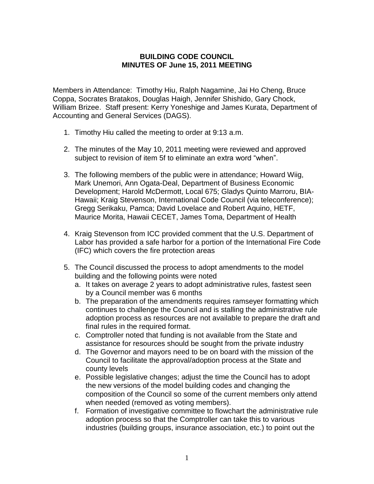## **BUILDING CODE COUNCIL MINUTES OF June 15, 2011 MEETING**

Members in Attendance: Timothy Hiu, Ralph Nagamine, Jai Ho Cheng, Bruce Coppa, Socrates Bratakos, Douglas Haigh, Jennifer Shishido, Gary Chock, William Brizee. Staff present: Kerry Yoneshige and James Kurata, Department of Accounting and General Services (DAGS).

- 1. Timothy Hiu called the meeting to order at 9:13 a.m.
- 2. The minutes of the May 10, 2011 meeting were reviewed and approved subject to revision of item 5f to eliminate an extra word "when".
- 3. The following members of the public were in attendance; Howard Wiig, Mark Unemori, Ann Ogata-Deal, Department of Business Economic Development; Harold McDermott, Local 675; Gladys Quinto Marroru, BIA-Hawaii; Kraig Stevenson, International Code Council (via teleconference); Gregg Serikaku, Pamca; David Lovelace and Robert Aquino, HETF, Maurice Morita, Hawaii CECET, James Toma, Department of Health
- 4. Kraig Stevenson from ICC provided comment that the U.S. Department of Labor has provided a safe harbor for a portion of the International Fire Code (IFC) which covers the fire protection areas
- 5. The Council discussed the process to adopt amendments to the model building and the following points were noted
	- a. It takes on average 2 years to adopt administrative rules, fastest seen by a Council member was 6 months
	- b. The preparation of the amendments requires ramseyer formatting which continues to challenge the Council and is stalling the administrative rule adoption process as resources are not available to prepare the draft and final rules in the required format.
	- c. Comptroller noted that funding is not available from the State and assistance for resources should be sought from the private industry
	- d. The Governor and mayors need to be on board with the mission of the Council to facilitate the approval/adoption process at the State and county levels
	- e. Possible legislative changes; adjust the time the Council has to adopt the new versions of the model building codes and changing the composition of the Council so some of the current members only attend when needed (removed as voting members).
	- f. Formation of investigative committee to flowchart the administrative rule adoption process so that the Comptroller can take this to various industries (building groups, insurance association, etc.) to point out the